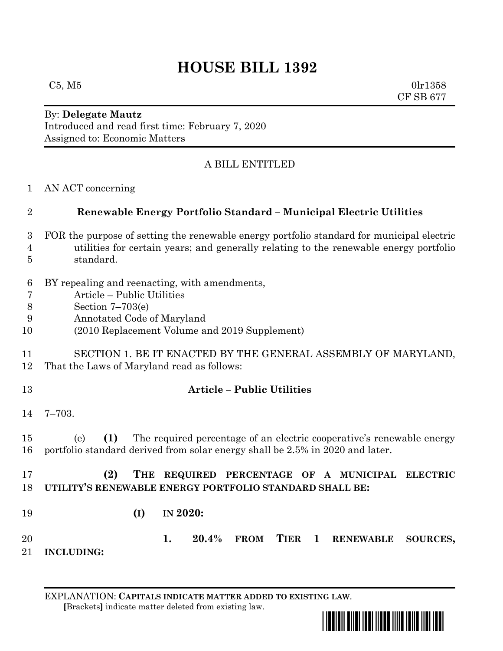## **HOUSE BILL 1392**

 $C5, M5$  0lr1358 CF SB 677

## By: **Delegate Mautz** Introduced and read first time: February 7, 2020 Assigned to: Economic Matters

## A BILL ENTITLED

AN ACT concerning

| $\overline{2}$                                    | Renewable Energy Portfolio Standard - Municipal Electric Utilities                                                                                                                              |
|---------------------------------------------------|-------------------------------------------------------------------------------------------------------------------------------------------------------------------------------------------------|
| 3<br>$\overline{4}$<br>5                          | FOR the purpose of setting the renewable energy portfolio standard for municipal electric<br>utilities for certain years; and generally relating to the renewable energy portfolio<br>standard. |
| $6\phantom{.}6$<br>$\overline{7}$<br>8<br>9<br>10 | BY repealing and reenacting, with amendments,<br>Article – Public Utilities<br>Section $7-703(e)$<br>Annotated Code of Maryland<br>(2010 Replacement Volume and 2019 Supplement)                |
| 11<br>12                                          | SECTION 1. BE IT ENACTED BY THE GENERAL ASSEMBLY OF MARYLAND,<br>That the Laws of Maryland read as follows:                                                                                     |
| 13                                                | <b>Article - Public Utilities</b>                                                                                                                                                               |
| 14                                                | $7 - 703.$                                                                                                                                                                                      |
| 15<br>16                                          | (1)<br>The required percentage of an electric cooperative's renewable energy<br>(e)<br>portfolio standard derived from solar energy shall be 2.5% in 2020 and later.                            |
| 17<br>$\sim$                                      | (2)<br>REQUIRED PERCENTAGE OF A MUNICIPAL<br>THE<br><b>ELECTRIC</b><br>$\blacksquare$                                                                                                           |

**UTILITY'S RENEWABLE ENERGY PORTFOLIO STANDARD SHALL BE:**

**(I) IN 2020:**

 **1. 20.4% FROM TIER 1 RENEWABLE SOURCES, INCLUDING:**

EXPLANATION: **CAPITALS INDICATE MATTER ADDED TO EXISTING LAW**.  **[**Brackets**]** indicate matter deleted from existing law.